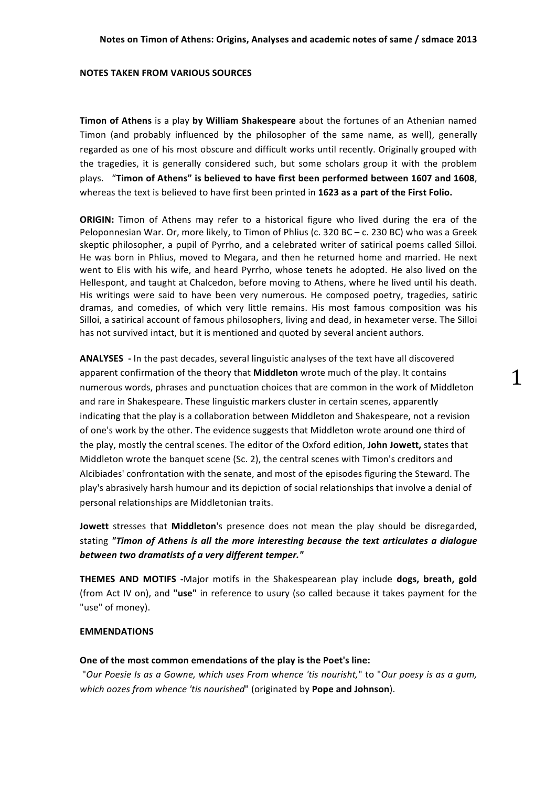### **NOTES TAKEN FROM VARIOUS SOURCES**

**Timon of Athens** is a play by William Shakespeare about the fortunes of an Athenian named Timon (and probably influenced by the philosopher of the same name, as well), generally regarded as one of his most obscure and difficult works until recently. Originally grouped with the tragedies, it is generally considered such, but some scholars group it with the problem plays. "Timon of Athens" is believed to have first been performed between 1607 and 1608, whereas the text is believed to have first been printed in 1623 as a part of the First Folio.

**ORIGIN:** Timon of Athens may refer to a historical figure who lived during the era of the Peloponnesian War. Or, more likely, to Timon of Phlius (c. 320 BC – c. 230 BC) who was a Greek skeptic philosopher, a pupil of Pyrrho, and a celebrated writer of satirical poems called Silloi. He was born in Phlius, moved to Megara, and then he returned home and married. He next went to Elis with his wife, and heard Pyrrho, whose tenets he adopted. He also lived on the Hellespont, and taught at Chalcedon, before moving to Athens, where he lived until his death. His writings were said to have been very numerous. He composed poetry, tragedies, satiric dramas, and comedies, of which very little remains. His most famous composition was his Silloi, a satirical account of famous philosophers, living and dead, in hexameter verse. The Silloi has not survived intact, but it is mentioned and quoted by several ancient authors.

**ANALYSES** - In the past decades, several linguistic analyses of the text have all discovered apparent confirmation of the theory that **Middleton** wrote much of the play. It contains numerous words, phrases and punctuation choices that are common in the work of Middleton and rare in Shakespeare. These linguistic markers cluster in certain scenes, apparently indicating that the play is a collaboration between Middleton and Shakespeare, not a revision of one's work by the other. The evidence suggests that Middleton wrote around one third of the play, mostly the central scenes. The editor of the Oxford edition, **John Jowett,** states that Middleton wrote the banquet scene  $(Sc. 2)$ , the central scenes with Timon's creditors and Alcibiades' confrontation with the senate, and most of the episodes figuring the Steward. The play's abrasively harsh humour and its depiction of social relationships that involve a denial of personal relationships are Middletonian traits.

**Jowett** stresses that **Middleton**'s presence does not mean the play should be disregarded, stating "Timon of Athens is all the more interesting because the text articulates a dialogue *between two dramatists of a very different temper."*

**THEMES AND MOTIFS** -Major motifs in the Shakespearean play include **dogs, breath, gold** (from Act IV on), and "use" in reference to usury (so called because it takes payment for the "use" of money).

# **EMMENDATIONS**

## One of the most common emendations of the play is the Poet's line:

"Our Poesie Is as a Gowne, which uses From whence 'tis nourisht," to "Our poesy is as a gum, which oozes from whence 'tis nourished" (originated by Pope and Johnson).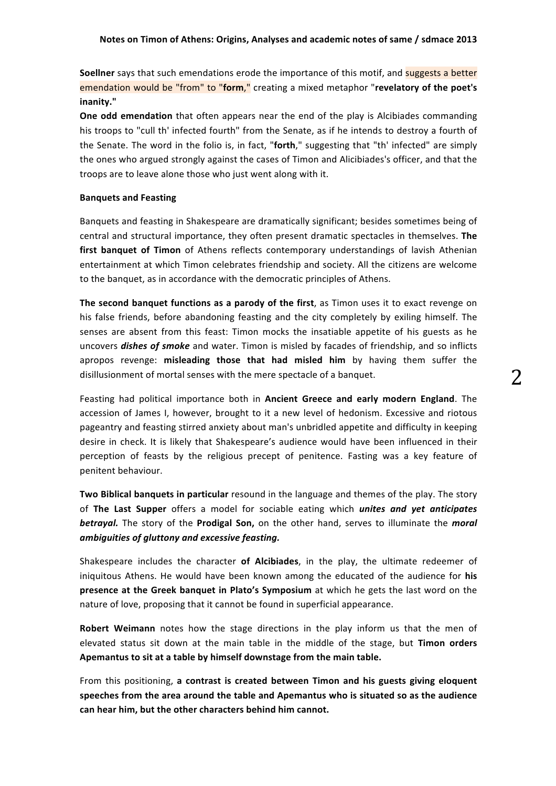**Soellner** says that such emendations erode the importance of this motif, and suggests a better **emendation would be "from" to "form,"** creating a mixed metaphor "revelatory of the poet's **inanity."**

**One odd emendation** that often appears near the end of the play is Alcibiades commanding his troops to "cull th' infected fourth" from the Senate, as if he intends to destroy a fourth of the Senate. The word in the folio is, in fact, "forth," suggesting that "th' infected" are simply the ones who argued strongly against the cases of Timon and Alicibiades's officer, and that the troops are to leave alone those who just went along with it.

### **Banquets and Feasting**

Banquets and feasting in Shakespeare are dramatically significant; besides sometimes being of central and structural importance, they often present dramatic spectacles in themselves. The first banquet of Timon of Athens reflects contemporary understandings of lavish Athenian entertainment at which Timon celebrates friendship and society. All the citizens are welcome to the banquet, as in accordance with the democratic principles of Athens.

**The second banquet functions as a parody of the first**, as Timon uses it to exact revenge on his false friends, before abandoning feasting and the city completely by exiling himself. The senses are absent from this feast: Timon mocks the insatiable appetite of his guests as he uncovers **dishes of smoke** and water. Timon is misled by facades of friendship, and so inflicts apropos revenge: misleading those that had misled him by having them suffer the disillusionment of mortal senses with the mere spectacle of a banquet.

Feasting had political importance both in **Ancient Greece and early modern England**. The accession of James I, however, brought to it a new level of hedonism. Excessive and riotous pageantry and feasting stirred anxiety about man's unbridled appetite and difficulty in keeping desire in check. It is likely that Shakespeare's audience would have been influenced in their perception of feasts by the religious precept of penitence. Fasting was a key feature of penitent behaviour.

Two Biblical banquets in particular resound in the language and themes of the play. The story of The Last Supper offers a model for sociable eating which *unites and yet anticipates* **betrayal.** The story of the **Prodigal Son,** on the other hand, serves to illuminate the *moral ambiguities of gluttony and excessive feasting.*

Shakespeare includes the character of Alcibiades, in the play, the ultimate redeemer of iniquitous Athens. He would have been known among the educated of the audience for his **presence at the Greek banquet in Plato's Symposium** at which he gets the last word on the nature of love, proposing that it cannot be found in superficial appearance.

**Robert Weimann** notes how the stage directions in the play inform us that the men of elevated status sit down at the main table in the middle of the stage, but Timon orders Apemantus to sit at a table by himself downstage from the main table.

From this positioning, a contrast is created between Timon and his guests giving eloquent speeches from the area around the table and Apemantus who is situated so as the audience can hear him, but the other characters behind him cannot.